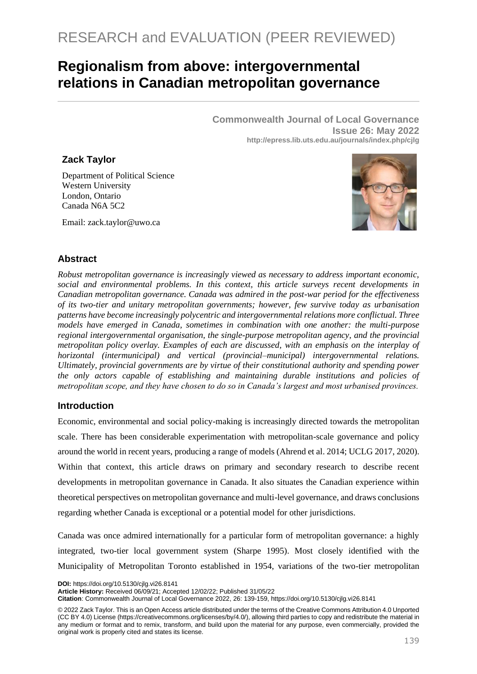# **Regionalism from above: intergovernmental relations in Canadian metropolitan governance**

**Commonwealth Journal of Local Governance Issue 26: May 2022 http://epress.lib.uts.edu.au/journals/index.php/cjlg**

## **Zack Taylor**

Department of Political Science Western University London, Ontario Canada N6A 5C2

Email: zack.taylor@uwo.ca



# **Abstract**

*Robust metropolitan governance is increasingly viewed as necessary to address important economic, social and environmental problems. In this context, this article surveys recent developments in Canadian metropolitan governance. Canada was admired in the post-war period for the effectiveness of its two-tier and unitary metropolitan governments; however, few survive today as urbanisation patterns have become increasingly polycentric and intergovernmental relations more conflictual. Three models have emerged in Canada, sometimes in combination with one another: the multi-purpose regional intergovernmental organisation, the single-purpose metropolitan agency, and the provincial metropolitan policy overlay. Examples of each are discussed, with an emphasis on the interplay of horizontal (intermunicipal) and vertical (provincial–municipal) intergovernmental relations. Ultimately, provincial governments are by virtue of their constitutional authority and spending power the only actors capable of establishing and maintaining durable institutions and policies of metropolitan scope, and they have chosen to do so in Canada's largest and most urbanised provinces.* 

#### **Introduction**

Economic, environmental and social policy-making is increasingly directed towards the metropolitan scale. There has been considerable experimentation with metropolitan-scale governance and policy around the world in recent years, producing a range of models (Ahrend et al. 2014; UCLG 2017, 2020). Within that context, this article draws on primary and secondary research to describe recent developments in metropolitan governance in Canada. It also situates the Canadian experience within theoretical perspectives on metropolitan governance and multi-level governance, and draws conclusions regarding whether Canada is exceptional or a potential model for other jurisdictions.

Canada was once admired internationally for a particular form of metropolitan governance: a highly integrated, two-tier local government system (Sharpe 1995). Most closely identified with the Municipality of Metropolitan Toronto established in 1954, variations of the two-tier metropolitan

**DOI:** https://doi.org/10.5130/cjlg.vi26.8141

**Article History:** Received 06/09/21; Accepted 12/02/22; Published 31/05/22

**Citation**: Commonwealth Journal of Local Governance 2022, 26: 139-159, https://doi.org/10.5130/cjlg.vi26.8141

<sup>© 2022</sup> Zack Taylor. This is an Open Access article distributed under the terms of the Creative Commons Attribution 4.0 Unported (CC BY 4.0) License [\(https://creativecommons.org/licenses/by/4.0/\)](https://creativecommons.org/licenses/by/4.0/), allowing third parties to copy and redistribute the material in any medium or format and to remix, transform, and build upon the material for any purpose, even commercially, provided the original work is properly cited and states its license.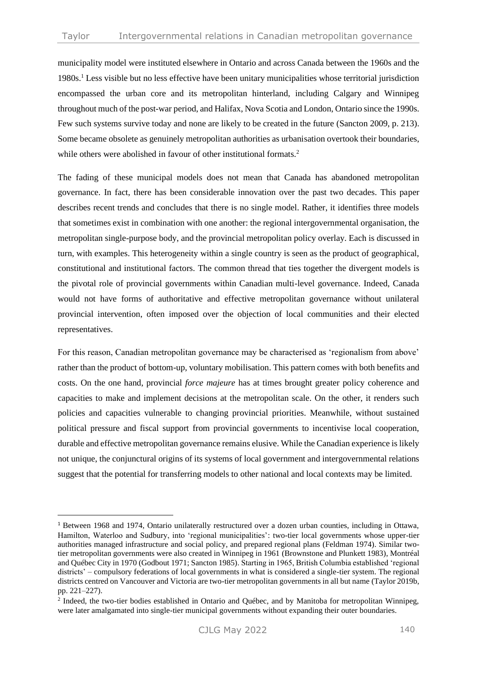municipality model were instituted elsewhere in Ontario and across Canada between the 1960s and the 1980s.<sup>1</sup> Less visible but no less effective have been unitary municipalities whose territorial jurisdiction encompassed the urban core and its metropolitan hinterland, including Calgary and Winnipeg throughout much of the post-war period, and Halifax, Nova Scotia and London, Ontario since the 1990s. Few such systems survive today and none are likely to be created in the future (Sancton 2009, p. 213). Some became obsolete as genuinely metropolitan authorities as urbanisation overtook their boundaries, while others were abolished in favour of other institutional formats.<sup>2</sup>

The fading of these municipal models does not mean that Canada has abandoned metropolitan governance. In fact, there has been considerable innovation over the past two decades. This paper describes recent trends and concludes that there is no single model. Rather, it identifies three models that sometimes exist in combination with one another: the regional intergovernmental organisation, the metropolitan single-purpose body, and the provincial metropolitan policy overlay. Each is discussed in turn, with examples. This heterogeneity within a single country is seen as the product of geographical, constitutional and institutional factors. The common thread that ties together the divergent models is the pivotal role of provincial governments within Canadian multi-level governance. Indeed, Canada would not have forms of authoritative and effective metropolitan governance without unilateral provincial intervention, often imposed over the objection of local communities and their elected representatives.

For this reason, Canadian metropolitan governance may be characterised as 'regionalism from above' rather than the product of bottom-up, voluntary mobilisation. This pattern comes with both benefits and costs. On the one hand, provincial *force majeure* has at times brought greater policy coherence and capacities to make and implement decisions at the metropolitan scale. On the other, it renders such policies and capacities vulnerable to changing provincial priorities. Meanwhile, without sustained political pressure and fiscal support from provincial governments to incentivise local cooperation, durable and effective metropolitan governance remains elusive. While the Canadian experience is likely not unique, the conjunctural origins of its systems of local government and intergovernmental relations suggest that the potential for transferring models to other national and local contexts may be limited.

<sup>1</sup> Between 1968 and 1974, Ontario unilaterally restructured over a dozen urban counties, including in Ottawa, Hamilton, Waterloo and Sudbury, into 'regional municipalities': two-tier local governments whose upper-tier authorities managed infrastructure and social policy, and prepared regional plans (Feldman 1974). Similar twotier metropolitan governments were also created in Winnipeg in 1961 (Brownstone and Plunkett 1983), Montréal and Québec City in 1970 (Godbout 1971; Sancton 1985). Starting in 1965, British Columbia established 'regional districts' – compulsory federations of local governments in what is considered a single-tier system. The regional districts centred on Vancouver and Victoria are two-tier metropolitan governments in all but name (Taylor 2019b, pp. 221–227).

<sup>&</sup>lt;sup>2</sup> Indeed, the two-tier bodies established in Ontario and Québec, and by Manitoba for metropolitan Winnipeg, were later amalgamated into single-tier municipal governments without expanding their outer boundaries.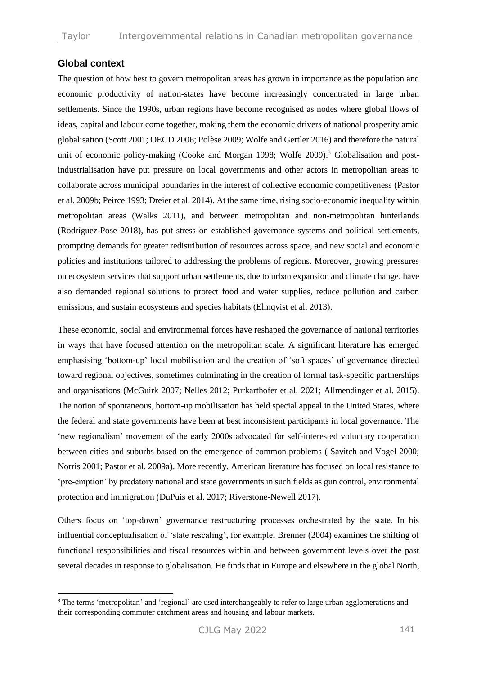## **Global context**

The question of how best to govern metropolitan areas has grown in importance as the population and economic productivity of nation-states have become increasingly concentrated in large urban settlements. Since the 1990s, urban regions have become recognised as nodes where global flows of ideas, capital and labour come together, making them the economic drivers of national prosperity amid globalisation (Scott 2001; OECD 2006; Polèse 2009; Wolfe and Gertler 2016) and therefore the natural unit of economic policy-making (Cooke and Morgan 1998; Wolfe 2009).<sup>3</sup> Globalisation and postindustrialisation have put pressure on local governments and other actors in metropolitan areas to collaborate across municipal boundaries in the interest of collective economic competitiveness (Pastor et al. 2009b; Peirce 1993; Dreier et al. 2014). At the same time, rising socio-economic inequality within metropolitan areas (Walks 2011), and between metropolitan and non-metropolitan hinterlands (Rodríguez-Pose 2018), has put stress on established governance systems and political settlements, prompting demands for greater redistribution of resources across space, and new social and economic policies and institutions tailored to addressing the problems of regions. Moreover, growing pressures on ecosystem services that support urban settlements, due to urban expansion and climate change, have also demanded regional solutions to protect food and water supplies, reduce pollution and carbon emissions, and sustain ecosystems and species habitats (Elmqvist et al. 2013).

These economic, social and environmental forces have reshaped the governance of national territories in ways that have focused attention on the metropolitan scale. A significant literature has emerged emphasising 'bottom-up' local mobilisation and the creation of 'soft spaces' of governance directed toward regional objectives, sometimes culminating in the creation of formal task-specific partnerships and organisations (McGuirk 2007; Nelles 2012; Purkarthofer et al. 2021; Allmendinger et al. 2015). The notion of spontaneous, bottom-up mobilisation has held special appeal in the United States, where the federal and state governments have been at best inconsistent participants in local governance. The 'new regionalism' movement of the early 2000s advocated for self-interested voluntary cooperation between cities and suburbs based on the emergence of common problems ( Savitch and Vogel 2000; Norris 2001; Pastor et al. 2009a). More recently, American literature has focused on local resistance to 'pre-emption' by predatory national and state governments in such fields as gun control, environmental protection and immigration (DuPuis et al. 2017; Riverstone-Newell 2017).

Others focus on 'top-down' governance restructuring processes orchestrated by the state. In his influential conceptualisation of 'state rescaling', for example, Brenner (2004) examines the shifting of functional responsibilities and fiscal resources within and between government levels over the past several decades in response to globalisation. He finds that in Europe and elsewhere in the global North,

<sup>&</sup>lt;sup>3</sup> The terms 'metropolitan' and 'regional' are used interchangeably to refer to large urban agglomerations and their corresponding commuter catchment areas and housing and labour markets.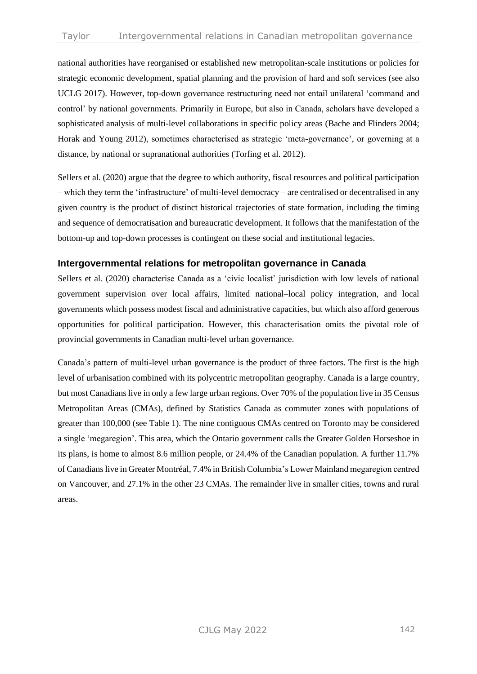national authorities have reorganised or established new metropolitan-scale institutions or policies for strategic economic development, spatial planning and the provision of hard and soft services (see also UCLG 2017). However, top-down governance restructuring need not entail unilateral 'command and control' by national governments. Primarily in Europe, but also in Canada, scholars have developed a sophisticated analysis of multi-level collaborations in specific policy areas (Bache and Flinders 2004; Horak and Young 2012), sometimes characterised as strategic 'meta-governance', or governing at a distance, by national or supranational authorities (Torfing et al. 2012).

Sellers et al. (2020) argue that the degree to which authority, fiscal resources and political participation – which they term the 'infrastructure' of multi-level democracy – are centralised or decentralised in any given country is the product of distinct historical trajectories of state formation, including the timing and sequence of democratisation and bureaucratic development. It follows that the manifestation of the bottom-up and top-down processes is contingent on these social and institutional legacies.

## **Intergovernmental relations for metropolitan governance in Canada**

Sellers et al. (2020) characterise Canada as a 'civic localist' jurisdiction with low levels of national government supervision over local affairs, limited national–local policy integration, and local governments which possess modest fiscal and administrative capacities, but which also afford generous opportunities for political participation. However, this characterisation omits the pivotal role of provincial governments in Canadian multi-level urban governance.

Canada's pattern of multi-level urban governance is the product of three factors. The first is the high level of urbanisation combined with its polycentric metropolitan geography. Canada is a large country, but most Canadians live in only a few large urban regions. Over 70% of the population live in 35 Census Metropolitan Areas (CMAs), defined by Statistics Canada as commuter zones with populations of greater than 100,000 (see Table 1). The nine contiguous CMAs centred on Toronto may be considered a single 'megaregion'. This area, which the Ontario government calls the Greater Golden Horseshoe in its plans, is home to almost 8.6 million people, or 24.4% of the Canadian population. A further 11.7% of Canadians live in Greater Montréal, 7.4% in British Columbia's Lower Mainland megaregion centred on Vancouver, and 27.1% in the other 23 CMAs. The remainder live in smaller cities, towns and rural areas.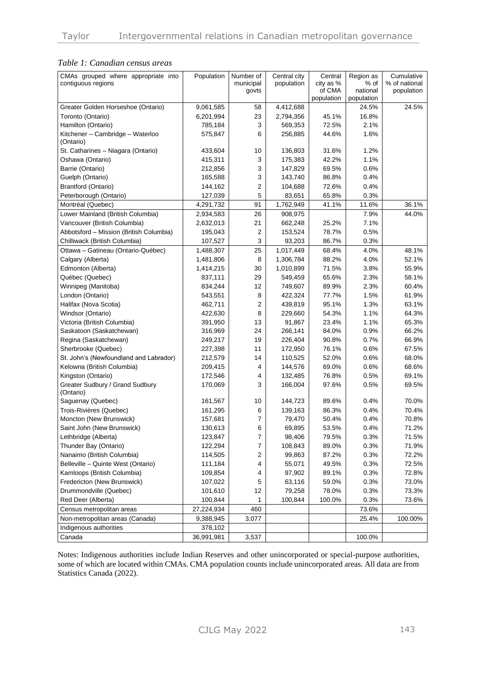#### *Table 1: Canadian census areas*

| CMAs grouped where appropriate into<br>contiguous regions | Population | Number of<br>municipal<br>govts | Central city<br>population | Central<br>city as %<br>of CMA | Region as<br>% of<br>national | Cumulative<br>% of national<br>population |
|-----------------------------------------------------------|------------|---------------------------------|----------------------------|--------------------------------|-------------------------------|-------------------------------------------|
|                                                           |            |                                 |                            | population                     | population                    |                                           |
| Greater Golden Horseshoe (Ontario)                        | 9,061,585  | 58                              | 4,412,688                  |                                | 24.5%                         | 24.5%                                     |
| Toronto (Ontario)                                         | 6,201,994  | 23                              | 2,794,356                  | 45.1%                          | 16.8%                         |                                           |
| Hamilton (Ontario)                                        | 785,184    | 3                               | 569,353                    | 72.5%                          | 2.1%                          |                                           |
| Kitchener - Cambridge - Waterloo<br>(Ontario)             | 575,847    | 6                               | 256,885                    | 44.6%                          | 1.6%                          |                                           |
| St. Catharines - Niagara (Ontario)                        | 433,604    | 10                              | 136,803                    | 31.6%                          | 1.2%                          |                                           |
| Oshawa (Ontario)                                          | 415,311    | 3                               | 175,383                    | 42.2%                          | 1.1%                          |                                           |
| Barrie (Ontario)                                          | 212,856    | 3                               | 147,829                    | 69.5%                          | 0.6%                          |                                           |
| Guelph (Ontario)                                          | 165,588    | 3                               | 143,740                    | 86.8%                          | 0.4%                          |                                           |
| <b>Brantford (Ontario)</b>                                | 144,162    | $\overline{2}$                  | 104,688                    | 72.6%                          | 0.4%                          |                                           |
| Peterborough (Ontario)                                    | 127,039    | 5                               | 83,651                     | 65.8%                          | 0.3%                          |                                           |
| Montréal (Quebec)                                         | 4,291,732  | 91                              | 1,762,949                  | 41.1%                          | 11.6%                         | 36.1%                                     |
| Lower Mainland (British Columbia)                         | 2,934,583  | 26                              | 908,975                    |                                | 7.9%                          | 44.0%                                     |
| Vancouver (British Columbia)                              | 2,632,013  | 21                              | 662,248                    | 25.2%                          | 7.1%                          |                                           |
| Abbotsford - Mission (British Columbia)                   | 195,043    | $\overline{2}$                  | 153,524                    | 78.7%                          | 0.5%                          |                                           |
| Chilliwack (British Columbia)                             | 107,527    | 3                               | 93,203                     | 86.7%                          | 0.3%                          |                                           |
| Ottawa - Gatineau (Ontario-Québec)                        | 1,488,307  | 25                              | 1,017,449                  | 68.4%                          | 4.0%                          | 48.1%                                     |
| Calgary (Alberta)                                         | 1,481,806  | 8                               | 1,306,784                  | 88.2%                          | 4.0%                          | 52.1%                                     |
| Edmonton (Alberta)                                        | 1,414,215  | 30                              | 1,010,899                  | 71.5%                          | 3.8%                          | 55.9%                                     |
| Québec (Quebec)                                           | 837,111    | 29                              | 549,459                    | 65.6%                          | 2.3%                          | 58.1%                                     |
| Winnipeg (Manitoba)                                       | 834,244    | 12                              | 749,607                    | 89.9%                          | 2.3%                          | 60.4%                                     |
| London (Ontario)                                          | 543,551    | 8                               | 422,324                    | 77.7%                          | 1.5%                          | 61.9%                                     |
| Halifax (Nova Scotia)                                     | 462,711    | $\overline{2}$                  | 439,819                    | 95.1%                          | 1.3%                          | 63.1%                                     |
| Windsor (Ontario)                                         | 422,630    | 8                               | 229,660                    | 54.3%                          | 1.1%                          | 64.3%                                     |
| Victoria (British Columbia)                               | 391,950    | 13                              | 91,867                     | 23.4%                          | 1.1%                          | 65.3%                                     |
| Saskatoon (Saskatchewan)                                  | 316,969    | 24                              | 266,141                    | 84.0%                          | 0.9%                          | 66.2%                                     |
| Regina (Saskatchewan)                                     | 249,217    | 19                              | 226,404                    | 90.8%                          | 0.7%                          | 66.9%                                     |
| Sherbrooke (Quebec)                                       | 227,398    | 11                              | 172,950                    | 76.1%                          | 0.6%                          | 67.5%                                     |
| St. John's (Newfoundland and Labrador)                    | 212,579    | 14                              | 110,525                    | 52.0%                          | 0.6%                          | 68.0%                                     |
| Kelowna (British Columbia)                                | 209,415    | 4                               | 144,576                    | 69.0%                          | 0.6%                          | 68.6%                                     |
| Kingston (Ontario)                                        | 172,546    | 4                               | 132,485                    | 76.8%                          | 0.5%                          | 69.1%                                     |
| Greater Sudbury / Grand Sudbury<br>(Ontario)              | 170,069    | 3                               | 166,004                    | 97.6%                          | 0.5%                          | 69.5%                                     |
| Saguenay (Quebec)                                         | 161,567    | 10                              | 144,723                    | 89.6%                          | 0.4%                          | 70.0%                                     |
| Trois-Rivières (Quebec)                                   | 161,295    | 6                               | 139,163                    | 86.3%                          | 0.4%                          | 70.4%                                     |
| Moncton (New Brunswick)                                   | 157,681    | 7                               | 79,470                     | 50.4%                          | 0.4%                          | 70.8%                                     |
| Saint John (New Brunswick)                                | 130,613    | 6                               | 69,895                     | 53.5%                          | 0.4%                          | 71.2%                                     |
| Lethbridge (Alberta)                                      | 123,847    | $\overline{7}$                  | 98,406                     | 79.5%                          | 0.3%                          | 71.5%                                     |
| Thunder Bay (Ontario)                                     | 122,294    | 7                               | 108,843                    | 89.0%                          | 0.3%                          | 71.9%                                     |
| Nanaimo (British Columbia)                                | 114,505    | 2                               | 99,863                     | 87.2%                          | 0.3%                          | 72.2%                                     |
| Belleville - Quinte West (Ontario)                        | 111,184    | 4                               | 55,071                     | 49.5%                          | 0.3%                          | 72.5%                                     |
| Kamloops (British Columbia)                               | 109,854    | 4                               | 97,902                     | 89.1%                          | 0.3%                          | 72.8%                                     |
| Fredericton (New Brunswick)                               | 107,022    | 5                               | 63,116                     | 59.0%                          | 0.3%                          | 73.0%                                     |
| Drummondville (Quebec)                                    | 101,610    | 12                              | 79,258                     | 78.0%                          | 0.3%                          | 73.3%                                     |
| Red Deer (Alberta)                                        | 100,844    | 1                               | 100,844                    | 100.0%                         | 0.3%                          | 73.6%                                     |
| Census metropolitan areas                                 | 27,224,934 | 460                             |                            |                                | 73.6%                         |                                           |
| Non-metropolitan areas (Canada)                           | 9,388,945  | 3,077                           |                            |                                | 25.4%                         | 100.00%                                   |
| Indigenous authorities                                    | 378,102    |                                 |                            |                                |                               |                                           |
| Canada                                                    | 36,991,981 | 3,537                           |                            |                                | 100.0%                        |                                           |

Notes: Indigenous authorities include Indian Reserves and other unincorporated or special-purpose authorities, some of which are located within CMAs. CMA population counts include unincorporated areas. All data are from Statistics Canada (2022).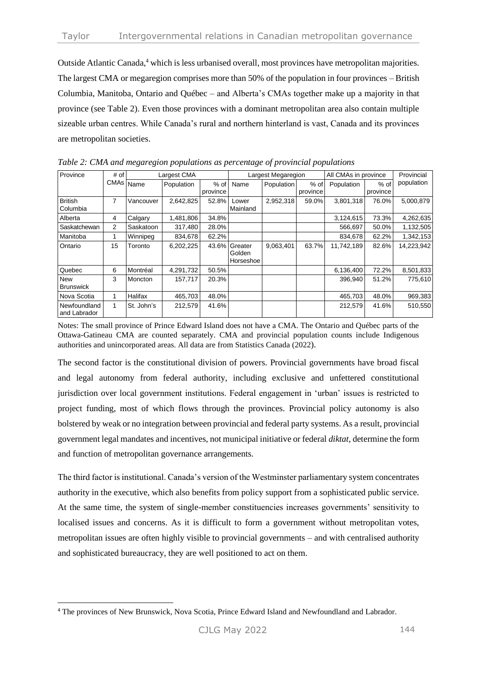Outside Atlantic Canada, <sup>4</sup> which is less urbanised overall, most provinces have metropolitan majorities. The largest CMA or megaregion comprises more than 50% of the population in four provinces – British Columbia, Manitoba, Ontario and Québec – and Alberta's CMAs together make up a majority in that province (see Table 2). Even those provinces with a dominant metropolitan area also contain multiple sizeable urban centres. While Canada's rural and northern hinterland is vast, Canada and its provinces are metropolitan societies.

| Province                       | # of <sup>1</sup><br>CMAs Name | Largest CMA |            | Largest Megaregion |                                      |                   | All CMAs in province |            | Provincial |            |
|--------------------------------|--------------------------------|-------------|------------|--------------------|--------------------------------------|-------------------|----------------------|------------|------------|------------|
|                                |                                |             | Population | $%$ of             | Name                                 | <b>Population</b> | $%$ of               | Population | % of       | population |
|                                |                                |             |            | province           |                                      |                   | province             |            | province   |            |
| <b>British</b><br>Columbia     | 7                              | Vancouver   | 2,642,825  | 52.8%              | Lower<br>Mainland                    | 2,952,318         | 59.0%                | 3,801,318  | 76.0%      | 5,000,879  |
| Alberta                        | 4                              | Calgary     | 1,481,806  | 34.8%              |                                      |                   |                      | 3,124,615  | 73.3%      | 4,262,635  |
| Saskatchewan                   | 2                              | Saskatoon   | 317,480    | 28.0%              |                                      |                   |                      | 566,697    | 50.0%      | 1,132,505  |
| Manitoba                       |                                | Winnipeg    | 834,678    | 62.2%              |                                      |                   |                      | 834,678    | 62.2%      | 1,342,153  |
| Ontario                        | 15                             | Toronto     | 6,202,225  |                    | 43.6% Greater<br>Golden<br>Horseshoe | 9,063,401         | 63.7%                | 11,742,189 | 82.6%      | 14,223,942 |
| Quebec                         | 6                              | Montréal    | 4,291,732  | 50.5%              |                                      |                   |                      | 6,136,400  | 72.2%      | 8,501,833  |
| <b>New</b><br><b>Brunswick</b> | 3                              | Moncton     | 157,717    | 20.3%              |                                      |                   |                      | 396.940    | 51.2%      | 775,610    |
| Nova Scotia                    |                                | Halifax     | 465,703    | 48.0%              |                                      |                   |                      | 465,703    | 48.0%      | 969,383    |
| Newfoundland<br>and Labrador   | 1                              | St. John's  | 212,579    | 41.6%              |                                      |                   |                      | 212,579    | 41.6%      | 510,550    |

*Table 2: CMA and megaregion populations as percentage of provincial populations*

Notes: The small province of Prince Edward Island does not have a CMA. The Ontario and Québec parts of the Ottawa-Gatineau CMA are counted separately. CMA and provincial population counts include Indigenous authorities and unincorporated areas. All data are from Statistics Canada (2022).

The second factor is the constitutional division of powers. Provincial governments have broad fiscal and legal autonomy from federal authority, including exclusive and unfettered constitutional jurisdiction over local government institutions. Federal engagement in 'urban' issues is restricted to project funding, most of which flows through the provinces. Provincial policy autonomy is also bolstered by weak or no integration between provincial and federal party systems. As a result, provincial government legal mandates and incentives, not municipal initiative or federal *diktat*, determine the form and function of metropolitan governance arrangements.

The third factor is institutional. Canada's version of the Westminster parliamentary system concentrates authority in the executive, which also benefits from policy support from a sophisticated public service. At the same time, the system of single-member constituencies increases governments' sensitivity to localised issues and concerns. As it is difficult to form a government without metropolitan votes, metropolitan issues are often highly visible to provincial governments – and with centralised authority and sophisticated bureaucracy, they are well positioned to act on them.

<sup>4</sup> The provinces of New Brunswick, Nova Scotia, Prince Edward Island and Newfoundland and Labrador.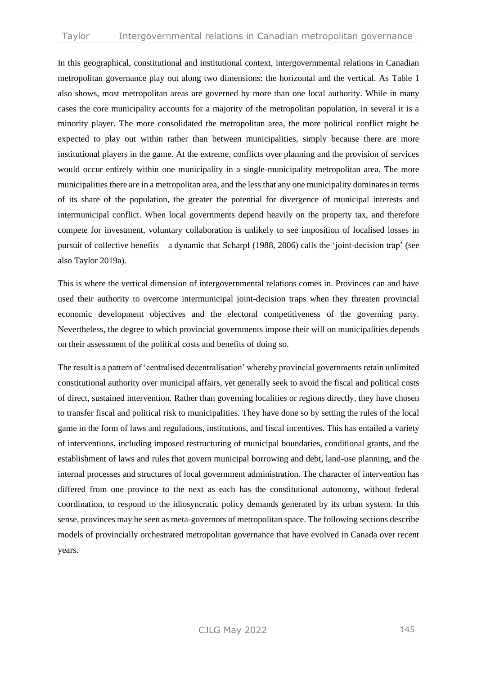In this geographical, constitutional and institutional context, intergovernmental relations in Canadian metropolitan governance play out along two dimensions: the horizontal and the vertical. As Table 1 also shows, most metropolitan areas are governed by more than one local authority. While in many cases the core municipality accounts for a majority of the metropolitan population, in several it is a minority player. The more consolidated the metropolitan area, the more political conflict might be expected to play out within rather than between municipalities, simply because there are more institutional players in the game. At the extreme, conflicts over planning and the provision of services would occur entirely within one municipality in a single-municipality metropolitan area. The more municipalities there are in a metropolitan area, and the less that any one municipality dominates in terms of its share of the population, the greater the potential for divergence of municipal interests and intermunicipal conflict. When local governments depend heavily on the property tax, and therefore compete for investment, voluntary collaboration is unlikely to see imposition of localised losses in pursuit of collective benefits – a dynamic that Scharpf (1988, 2006) calls the 'joint-decision trap' (see also Taylor 2019a).

This is where the vertical dimension of intergovernmental relations comes in. Provinces can and have used their authority to overcome intermunicipal joint-decision traps when they threaten provincial economic development objectives and the electoral competitiveness of the governing party. Nevertheless, the degree to which provincial governments impose their will on municipalities depends on their assessment of the political costs and benefits of doing so.

The result is a pattern of 'centralised decentralisation' whereby provincial governments retain unlimited constitutional authority over municipal affairs, yet generally seek to avoid the fiscal and political costs of direct, sustained intervention. Rather than governing localities or regions directly, they have chosen to transfer fiscal and political risk to municipalities. They have done so by setting the rules of the local game in the form of laws and regulations, institutions, and fiscal incentives. This has entailed a variety of interventions, including imposed restructuring of municipal boundaries, conditional grants, and the establishment of laws and rules that govern municipal borrowing and debt, land-use planning, and the internal processes and structures of local government administration. The character of intervention has differed from one province to the next as each has the constitutional autonomy, without federal coordination, to respond to the idiosyncratic policy demands generated by its urban system. In this sense, provinces may be seen as meta-governors of metropolitan space. The following sections describe models of provincially orchestrated metropolitan governance that have evolved in Canada over recent years.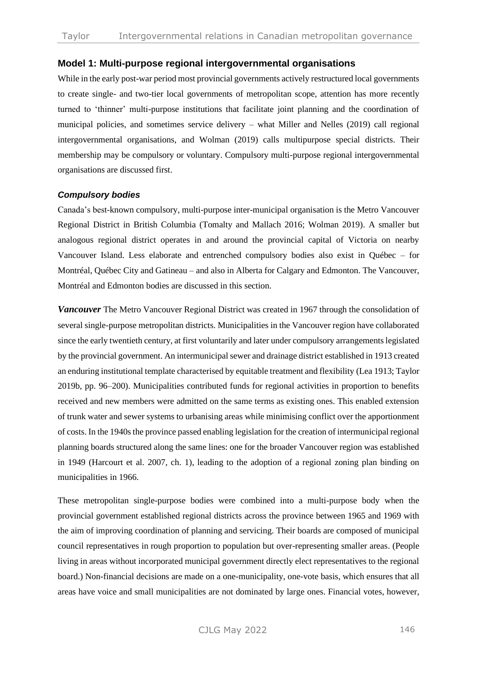## **Model 1: Multi-purpose regional intergovernmental organisations**

While in the early post-war period most provincial governments actively restructured local governments to create single- and two-tier local governments of metropolitan scope, attention has more recently turned to 'thinner' multi-purpose institutions that facilitate joint planning and the coordination of municipal policies, and sometimes service delivery – what Miller and Nelles (2019) call regional intergovernmental organisations, and Wolman (2019) calls multipurpose special districts. Their membership may be compulsory or voluntary. Compulsory multi-purpose regional intergovernmental organisations are discussed first.

#### *Compulsory bodies*

Canada's best-known compulsory, multi-purpose inter-municipal organisation is the Metro Vancouver Regional District in British Columbia (Tomalty and Mallach 2016; Wolman 2019). A smaller but analogous regional district operates in and around the provincial capital of Victoria on nearby Vancouver Island. Less elaborate and entrenched compulsory bodies also exist in Québec – for Montréal, Québec City and Gatineau – and also in Alberta for Calgary and Edmonton. The Vancouver, Montréal and Edmonton bodies are discussed in this section.

*Vancouver* The Metro Vancouver Regional District was created in 1967 through the consolidation of several single-purpose metropolitan districts. Municipalities in the Vancouver region have collaborated since the early twentieth century, at first voluntarily and later under compulsory arrangements legislated by the provincial government. An intermunicipal sewer and drainage district established in 1913 created an enduring institutional template characterised by equitable treatment and flexibility (Lea 1913; Taylor 2019b, pp. 96–200). Municipalities contributed funds for regional activities in proportion to benefits received and new members were admitted on the same terms as existing ones. This enabled extension of trunk water and sewer systems to urbanising areas while minimising conflict over the apportionment of costs. In the 1940s the province passed enabling legislation for the creation of intermunicipal regional planning boards structured along the same lines: one for the broader Vancouver region was established in 1949 (Harcourt et al. 2007, ch. 1), leading to the adoption of a regional zoning plan binding on municipalities in 1966.

These metropolitan single-purpose bodies were combined into a multi-purpose body when the provincial government established regional districts across the province between 1965 and 1969 with the aim of improving coordination of planning and servicing. Their boards are composed of municipal council representatives in rough proportion to population but over-representing smaller areas. (People living in areas without incorporated municipal government directly elect representatives to the regional board.) Non-financial decisions are made on a one-municipality, one-vote basis, which ensures that all areas have voice and small municipalities are not dominated by large ones. Financial votes, however,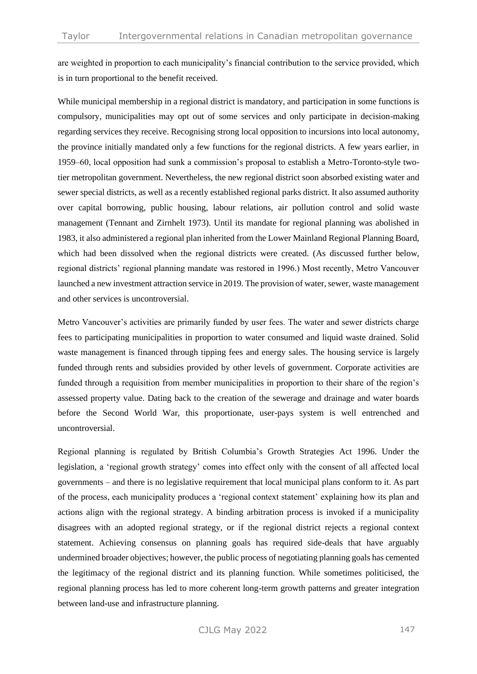are weighted in proportion to each municipality's financial contribution to the service provided, which is in turn proportional to the benefit received.

While municipal membership in a regional district is mandatory, and participation in some functions is compulsory, municipalities may opt out of some services and only participate in decision-making regarding services they receive. Recognising strong local opposition to incursions into local autonomy, the province initially mandated only a few functions for the regional districts. A few years earlier, in 1959–60, local opposition had sunk a commission's proposal to establish a Metro-Toronto-style twotier metropolitan government. Nevertheless, the new regional district soon absorbed existing water and sewer special districts, as well as a recently established regional parks district. It also assumed authority over capital borrowing, public housing, labour relations, air pollution control and solid waste management (Tennant and Zirnhelt 1973). Until its mandate for regional planning was abolished in 1983, it also administered a regional plan inherited from the Lower Mainland Regional Planning Board, which had been dissolved when the regional districts were created. (As discussed further below, regional districts' regional planning mandate was restored in 1996.) Most recently, Metro Vancouver launched a new investment attraction service in 2019. The provision of water, sewer, waste management and other services is uncontroversial.

Metro Vancouver's activities are primarily funded by user fees. The water and sewer districts charge fees to participating municipalities in proportion to water consumed and liquid waste drained. Solid waste management is financed through tipping fees and energy sales. The housing service is largely funded through rents and subsidies provided by other levels of government. Corporate activities are funded through a requisition from member municipalities in proportion to their share of the region's assessed property value. Dating back to the creation of the sewerage and drainage and water boards before the Second World War, this proportionate, user-pays system is well entrenched and uncontroversial.

Regional planning is regulated by British Columbia's Growth Strategies Act 1996. Under the legislation, a 'regional growth strategy' comes into effect only with the consent of all affected local governments – and there is no legislative requirement that local municipal plans conform to it. As part of the process, each municipality produces a 'regional context statement' explaining how its plan and actions align with the regional strategy. A binding arbitration process is invoked if a municipality disagrees with an adopted regional strategy, or if the regional district rejects a regional context statement. Achieving consensus on planning goals has required side-deals that have arguably undermined broader objectives; however, the public process of negotiating planning goals has cemented the legitimacy of the regional district and its planning function. While sometimes politicised, the regional planning process has led to more coherent long-term growth patterns and greater integration between land-use and infrastructure planning.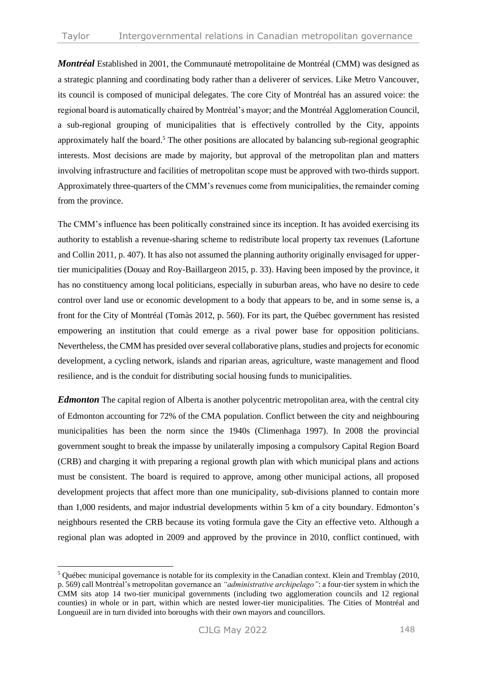*Montréal* Established in 2001, the Communauté metropolitaine de Montréal (CMM) was designed as a strategic planning and coordinating body rather than a deliverer of services. Like Metro Vancouver, its council is composed of municipal delegates. The core City of Montréal has an assured voice: the regional board is automatically chaired by Montréal's mayor; and the Montréal Agglomeration Council, a sub-regional grouping of municipalities that is effectively controlled by the City, appoints approximately half the board.<sup>5</sup> The other positions are allocated by balancing sub-regional geographic interests. Most decisions are made by majority, but approval of the metropolitan plan and matters involving infrastructure and facilities of metropolitan scope must be approved with two-thirds support. Approximately three-quarters of the CMM's revenues come from municipalities, the remainder coming from the province.

The CMM's influence has been politically constrained since its inception. It has avoided exercising its authority to establish a revenue-sharing scheme to redistribute local property tax revenues (Lafortune and Collin 2011, p. 407). It has also not assumed the planning authority originally envisaged for uppertier municipalities (Douay and Roy-Baillargeon 2015, p. 33). Having been imposed by the province, it has no constituency among local politicians, especially in suburban areas, who have no desire to cede control over land use or economic development to a body that appears to be, and in some sense is, a front for the City of Montréal (Tomàs 2012, p. 560). For its part, the Québec government has resisted empowering an institution that could emerge as a rival power base for opposition politicians. Nevertheless, the CMM has presided over several collaborative plans, studies and projects for economic development, a cycling network, islands and riparian areas, agriculture, waste management and flood resilience, and is the conduit for distributing social housing funds to municipalities.

*Edmonton* The capital region of Alberta is another polycentric metropolitan area, with the central city of Edmonton accounting for 72% of the CMA population. Conflict between the city and neighbouring municipalities has been the norm since the 1940s (Climenhaga 1997). In 2008 the provincial government sought to break the impasse by unilaterally imposing a compulsory Capital Region Board (CRB) and charging it with preparing a regional growth plan with which municipal plans and actions must be consistent. The board is required to approve, among other municipal actions, all proposed development projects that affect more than one municipality, sub-divisions planned to contain more than 1,000 residents, and major industrial developments within 5 km of a city boundary. Edmonton's neighbours resented the CRB because its voting formula gave the City an effective veto. Although a regional plan was adopted in 2009 and approved by the province in 2010, conflict continued, with

<sup>&</sup>lt;sup>5</sup> Québec municipal governance is notable for its complexity in the Canadian context. Klein and Tremblay (2010, p. 569) call Montréal's metropolitan governance an *"administrative archipelago"*: a four-tier system in which the CMM sits atop 14 two-tier municipal governments (including two agglomeration councils and 12 regional counties) in whole or in part, within which are nested lower-tier municipalities. The Cities of Montréal and Longueuil are in turn divided into boroughs with their own mayors and councillors.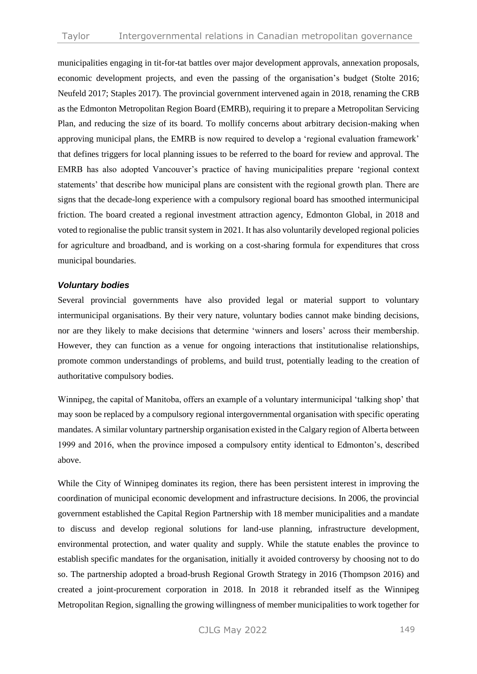municipalities engaging in tit-for-tat battles over major development approvals, annexation proposals, economic development projects, and even the passing of the organisation's budget (Stolte 2016; Neufeld 2017; Staples 2017). The provincial government intervened again in 2018, renaming the CRB as the Edmonton Metropolitan Region Board (EMRB), requiring it to prepare a Metropolitan Servicing Plan, and reducing the size of its board. To mollify concerns about arbitrary decision-making when approving municipal plans, the EMRB is now required to develop a 'regional evaluation framework' that defines triggers for local planning issues to be referred to the board for review and approval. The EMRB has also adopted Vancouver's practice of having municipalities prepare 'regional context statements' that describe how municipal plans are consistent with the regional growth plan. There are signs that the decade-long experience with a compulsory regional board has smoothed intermunicipal friction. The board created a regional investment attraction agency, Edmonton Global, in 2018 and voted to regionalise the public transit system in 2021. It has also voluntarily developed regional policies for agriculture and broadband, and is working on a cost-sharing formula for expenditures that cross municipal boundaries.

#### *Voluntary bodies*

Several provincial governments have also provided legal or material support to voluntary intermunicipal organisations. By their very nature, voluntary bodies cannot make binding decisions, nor are they likely to make decisions that determine 'winners and losers' across their membership. However, they can function as a venue for ongoing interactions that institutionalise relationships, promote common understandings of problems, and build trust, potentially leading to the creation of authoritative compulsory bodies.

Winnipeg, the capital of Manitoba, offers an example of a voluntary intermunicipal 'talking shop' that may soon be replaced by a compulsory regional intergovernmental organisation with specific operating mandates. A similar voluntary partnership organisation existed in the Calgary region of Alberta between 1999 and 2016, when the province imposed a compulsory entity identical to Edmonton's, described above.

While the City of Winnipeg dominates its region, there has been persistent interest in improving the coordination of municipal economic development and infrastructure decisions. In 2006, the provincial government established the Capital Region Partnership with 18 member municipalities and a mandate to discuss and develop regional solutions for land-use planning, infrastructure development, environmental protection, and water quality and supply. While the statute enables the province to establish specific mandates for the organisation, initially it avoided controversy by choosing not to do so. The partnership adopted a broad-brush Regional Growth Strategy in 2016 (Thompson 2016) and created a joint-procurement corporation in 2018. In 2018 it rebranded itself as the Winnipeg Metropolitan Region, signalling the growing willingness of member municipalities to work together for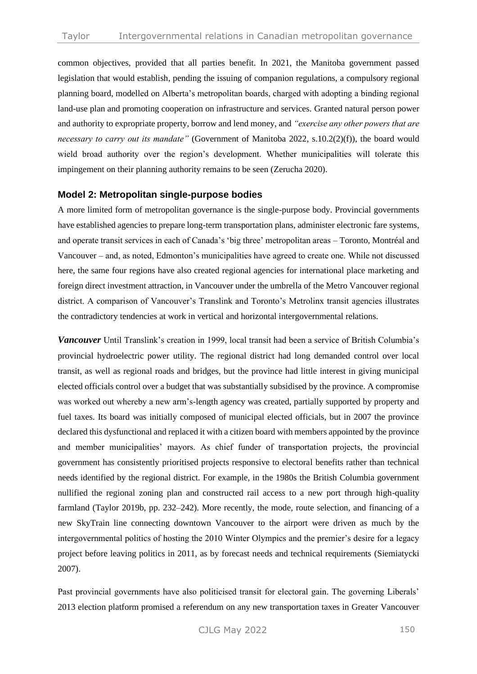common objectives, provided that all parties benefit. In 2021, the Manitoba government passed legislation that would establish, pending the issuing of companion regulations, a compulsory regional planning board, modelled on Alberta's metropolitan boards, charged with adopting a binding regional land-use plan and promoting cooperation on infrastructure and services. Granted natural person power and authority to expropriate property, borrow and lend money, and *"exercise any other powers that are necessary to carry out its mandate"* (Government of Manitoba 2022, s.10.2(2)(f)), the board would wield broad authority over the region's development. Whether municipalities will tolerate this impingement on their planning authority remains to be seen (Zerucha 2020).

### **Model 2: Metropolitan single-purpose bodies**

A more limited form of metropolitan governance is the single-purpose body. Provincial governments have established agencies to prepare long-term transportation plans, administer electronic fare systems, and operate transit services in each of Canada's 'big three' metropolitan areas – Toronto, Montréal and Vancouver – and, as noted, Edmonton's municipalities have agreed to create one. While not discussed here, the same four regions have also created regional agencies for international place marketing and foreign direct investment attraction, in Vancouver under the umbrella of the Metro Vancouver regional district. A comparison of Vancouver's Translink and Toronto's Metrolinx transit agencies illustrates the contradictory tendencies at work in vertical and horizontal intergovernmental relations.

*Vancouver* Until Translink's creation in 1999, local transit had been a service of British Columbia's provincial hydroelectric power utility. The regional district had long demanded control over local transit, as well as regional roads and bridges, but the province had little interest in giving municipal elected officials control over a budget that was substantially subsidised by the province. A compromise was worked out whereby a new arm's-length agency was created, partially supported by property and fuel taxes. Its board was initially composed of municipal elected officials, but in 2007 the province declared this dysfunctional and replaced it with a citizen board with members appointed by the province and member municipalities' mayors. As chief funder of transportation projects, the provincial government has consistently prioritised projects responsive to electoral benefits rather than technical needs identified by the regional district. For example, in the 1980s the British Columbia government nullified the regional zoning plan and constructed rail access to a new port through high-quality farmland (Taylor 2019b, pp. 232–242). More recently, the mode, route selection, and financing of a new SkyTrain line connecting downtown Vancouver to the airport were driven as much by the intergovernmental politics of hosting the 2010 Winter Olympics and the premier's desire for a legacy project before leaving politics in 2011, as by forecast needs and technical requirements (Siemiatycki 2007).

Past provincial governments have also politicised transit for electoral gain. The governing Liberals' 2013 election platform promised a referendum on any new transportation taxes in Greater Vancouver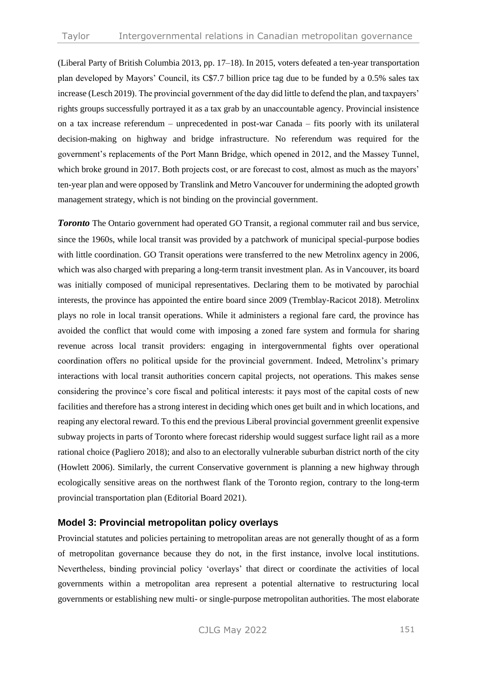(Liberal Party of British Columbia 2013, pp. 17–18). In 2015, voters defeated a ten-year transportation plan developed by Mayors' Council, its C\$7.7 billion price tag due to be funded by a 0.5% sales tax increase (Lesch 2019). The provincial government of the day did little to defend the plan, and taxpayers' rights groups successfully portrayed it as a tax grab by an unaccountable agency. Provincial insistence on a tax increase referendum – unprecedented in post-war Canada – fits poorly with its unilateral decision-making on highway and bridge infrastructure. No referendum was required for the government's replacements of the Port Mann Bridge, which opened in 2012, and the Massey Tunnel, which broke ground in 2017. Both projects cost, or are forecast to cost, almost as much as the mayors' ten-year plan and were opposed by Translink and Metro Vancouver for undermining the adopted growth management strategy, which is not binding on the provincial government.

*Toronto* The Ontario government had operated GO Transit, a regional commuter rail and bus service, since the 1960s, while local transit was provided by a patchwork of municipal special-purpose bodies with little coordination. GO Transit operations were transferred to the new Metrolinx agency in 2006, which was also charged with preparing a long-term transit investment plan. As in Vancouver, its board was initially composed of municipal representatives. Declaring them to be motivated by parochial interests, the province has appointed the entire board since 2009 (Tremblay-Racicot 2018). Metrolinx plays no role in local transit operations. While it administers a regional fare card, the province has avoided the conflict that would come with imposing a zoned fare system and formula for sharing revenue across local transit providers: engaging in intergovernmental fights over operational coordination offers no political upside for the provincial government. Indeed, Metrolinx's primary interactions with local transit authorities concern capital projects, not operations. This makes sense considering the province's core fiscal and political interests: it pays most of the capital costs of new facilities and therefore has a strong interest in deciding which ones get built and in which locations, and reaping any electoral reward. To this end the previous Liberal provincial government greenlit expensive subway projects in parts of Toronto where forecast ridership would suggest surface light rail as a more rational choice (Pagliero 2018); and also to an electorally vulnerable suburban district north of the city (Howlett 2006). Similarly, the current Conservative government is planning a new highway through ecologically sensitive areas on the northwest flank of the Toronto region, contrary to the long-term provincial transportation plan (Editorial Board 2021).

## **Model 3: Provincial metropolitan policy overlays**

Provincial statutes and policies pertaining to metropolitan areas are not generally thought of as a form of metropolitan governance because they do not, in the first instance, involve local institutions. Nevertheless, binding provincial policy 'overlays' that direct or coordinate the activities of local governments within a metropolitan area represent a potential alternative to restructuring local governments or establishing new multi- or single-purpose metropolitan authorities. The most elaborate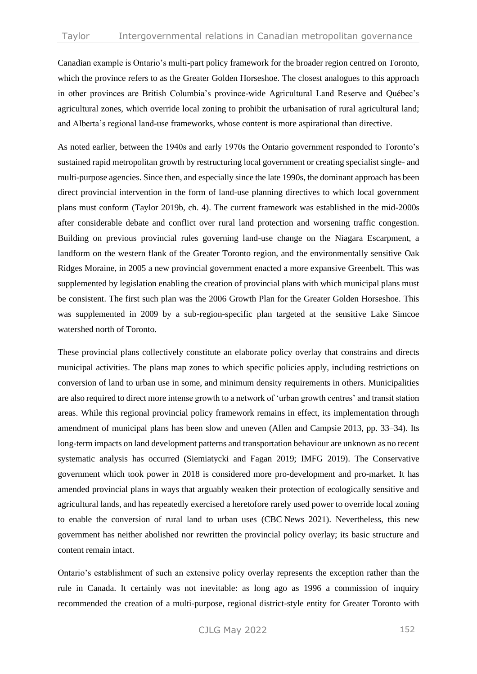Canadian example is Ontario's multi-part policy framework for the broader region centred on Toronto, which the province refers to as the Greater Golden Horseshoe. The closest analogues to this approach in other provinces are British Columbia's province-wide Agricultural Land Reserve and Québec's agricultural zones, which override local zoning to prohibit the urbanisation of rural agricultural land; and Alberta's regional land-use frameworks, whose content is more aspirational than directive.

As noted earlier, between the 1940s and early 1970s the Ontario government responded to Toronto's sustained rapid metropolitan growth by restructuring local government or creating specialist single- and multi-purpose agencies. Since then, and especially since the late 1990s, the dominant approach has been direct provincial intervention in the form of land-use planning directives to which local government plans must conform (Taylor 2019b, ch. 4). The current framework was established in the mid-2000s after considerable debate and conflict over rural land protection and worsening traffic congestion. Building on previous provincial rules governing land-use change on the Niagara Escarpment, a landform on the western flank of the Greater Toronto region, and the environmentally sensitive Oak Ridges Moraine, in 2005 a new provincial government enacted a more expansive Greenbelt. This was supplemented by legislation enabling the creation of provincial plans with which municipal plans must be consistent. The first such plan was the 2006 Growth Plan for the Greater Golden Horseshoe. This was supplemented in 2009 by a sub-region-specific plan targeted at the sensitive Lake Simcoe watershed north of Toronto.

These provincial plans collectively constitute an elaborate policy overlay that constrains and directs municipal activities. The plans map zones to which specific policies apply, including restrictions on conversion of land to urban use in some, and minimum density requirements in others. Municipalities are also required to direct more intense growth to a network of 'urban growth centres' and transit station areas. While this regional provincial policy framework remains in effect, its implementation through amendment of municipal plans has been slow and uneven (Allen and Campsie 2013, pp. 33–34). Its long-term impacts on land development patterns and transportation behaviour are unknown as no recent systematic analysis has occurred (Siemiatycki and Fagan 2019; IMFG 2019). The Conservative government which took power in 2018 is considered more pro-development and pro-market. It has amended provincial plans in ways that arguably weaken their protection of ecologically sensitive and agricultural lands, and has repeatedly exercised a heretofore rarely used power to override local zoning to enable the conversion of rural land to urban uses (CBC News 2021). Nevertheless, this new government has neither abolished nor rewritten the provincial policy overlay; its basic structure and content remain intact.

Ontario's establishment of such an extensive policy overlay represents the exception rather than the rule in Canada. It certainly was not inevitable: as long ago as 1996 a commission of inquiry recommended the creation of a multi-purpose, regional district-style entity for Greater Toronto with

CJLG May 2022 152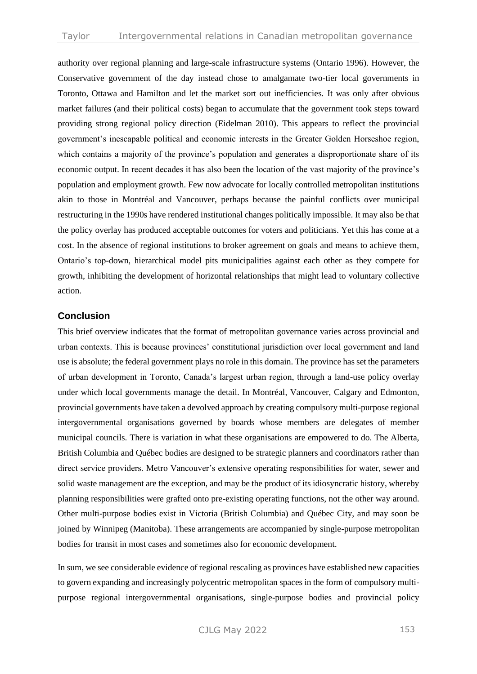authority over regional planning and large-scale infrastructure systems (Ontario 1996). However, the Conservative government of the day instead chose to amalgamate two-tier local governments in Toronto, Ottawa and Hamilton and let the market sort out inefficiencies. It was only after obvious market failures (and their political costs) began to accumulate that the government took steps toward providing strong regional policy direction (Eidelman 2010). This appears to reflect the provincial government's inescapable political and economic interests in the Greater Golden Horseshoe region, which contains a majority of the province's population and generates a disproportionate share of its economic output. In recent decades it has also been the location of the vast majority of the province's population and employment growth. Few now advocate for locally controlled metropolitan institutions akin to those in Montréal and Vancouver, perhaps because the painful conflicts over municipal restructuring in the 1990s have rendered institutional changes politically impossible. It may also be that the policy overlay has produced acceptable outcomes for voters and politicians. Yet this has come at a cost. In the absence of regional institutions to broker agreement on goals and means to achieve them, Ontario's top-down, hierarchical model pits municipalities against each other as they compete for growth, inhibiting the development of horizontal relationships that might lead to voluntary collective action.

#### **Conclusion**

This brief overview indicates that the format of metropolitan governance varies across provincial and urban contexts. This is because provinces' constitutional jurisdiction over local government and land use is absolute; the federal government plays no role in this domain. The province has set the parameters of urban development in Toronto, Canada's largest urban region, through a land-use policy overlay under which local governments manage the detail. In Montréal, Vancouver, Calgary and Edmonton, provincial governments have taken a devolved approach by creating compulsory multi-purpose regional intergovernmental organisations governed by boards whose members are delegates of member municipal councils. There is variation in what these organisations are empowered to do. The Alberta, British Columbia and Québec bodies are designed to be strategic planners and coordinators rather than direct service providers. Metro Vancouver's extensive operating responsibilities for water, sewer and solid waste management are the exception, and may be the product of its idiosyncratic history, whereby planning responsibilities were grafted onto pre-existing operating functions, not the other way around. Other multi-purpose bodies exist in Victoria (British Columbia) and Québec City, and may soon be joined by Winnipeg (Manitoba). These arrangements are accompanied by single-purpose metropolitan bodies for transit in most cases and sometimes also for economic development.

In sum, we see considerable evidence of regional rescaling as provinces have established new capacities to govern expanding and increasingly polycentric metropolitan spaces in the form of compulsory multipurpose regional intergovernmental organisations, single-purpose bodies and provincial policy

CJLG May 2022 153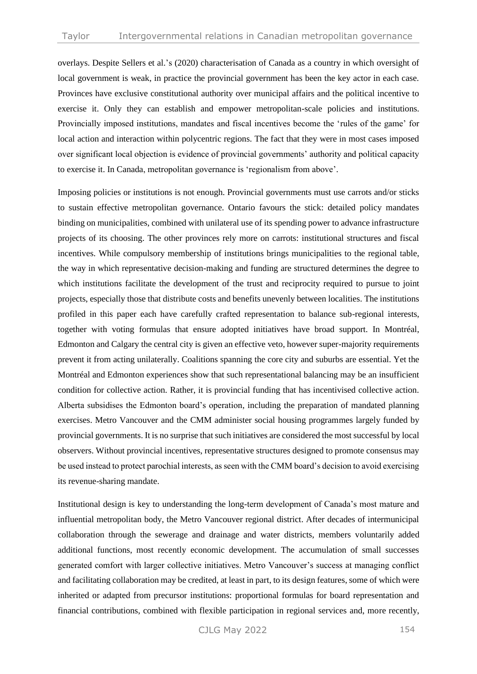overlays. Despite Sellers et al.'s (2020) characterisation of Canada as a country in which oversight of local government is weak, in practice the provincial government has been the key actor in each case. Provinces have exclusive constitutional authority over municipal affairs and the political incentive to exercise it. Only they can establish and empower metropolitan-scale policies and institutions. Provincially imposed institutions, mandates and fiscal incentives become the 'rules of the game' for local action and interaction within polycentric regions. The fact that they were in most cases imposed over significant local objection is evidence of provincial governments' authority and political capacity to exercise it. In Canada, metropolitan governance is 'regionalism from above'.

Imposing policies or institutions is not enough. Provincial governments must use carrots and/or sticks to sustain effective metropolitan governance. Ontario favours the stick: detailed policy mandates binding on municipalities, combined with unilateral use of its spending power to advance infrastructure projects of its choosing. The other provinces rely more on carrots: institutional structures and fiscal incentives. While compulsory membership of institutions brings municipalities to the regional table, the way in which representative decision-making and funding are structured determines the degree to which institutions facilitate the development of the trust and reciprocity required to pursue to joint projects, especially those that distribute costs and benefits unevenly between localities. The institutions profiled in this paper each have carefully crafted representation to balance sub-regional interests, together with voting formulas that ensure adopted initiatives have broad support. In Montréal, Edmonton and Calgary the central city is given an effective veto, however super-majority requirements prevent it from acting unilaterally. Coalitions spanning the core city and suburbs are essential. Yet the Montréal and Edmonton experiences show that such representational balancing may be an insufficient condition for collective action. Rather, it is provincial funding that has incentivised collective action. Alberta subsidises the Edmonton board's operation, including the preparation of mandated planning exercises. Metro Vancouver and the CMM administer social housing programmes largely funded by provincial governments. It is no surprise that such initiatives are considered the most successful by local observers. Without provincial incentives, representative structures designed to promote consensus may be used instead to protect parochial interests, as seen with the CMM board's decision to avoid exercising its revenue-sharing mandate.

Institutional design is key to understanding the long-term development of Canada's most mature and influential metropolitan body, the Metro Vancouver regional district. After decades of intermunicipal collaboration through the sewerage and drainage and water districts, members voluntarily added additional functions, most recently economic development. The accumulation of small successes generated comfort with larger collective initiatives. Metro Vancouver's success at managing conflict and facilitating collaboration may be credited, at least in part, to its design features, some of which were inherited or adapted from precursor institutions: proportional formulas for board representation and financial contributions, combined with flexible participation in regional services and, more recently,

CJLG May 2022 154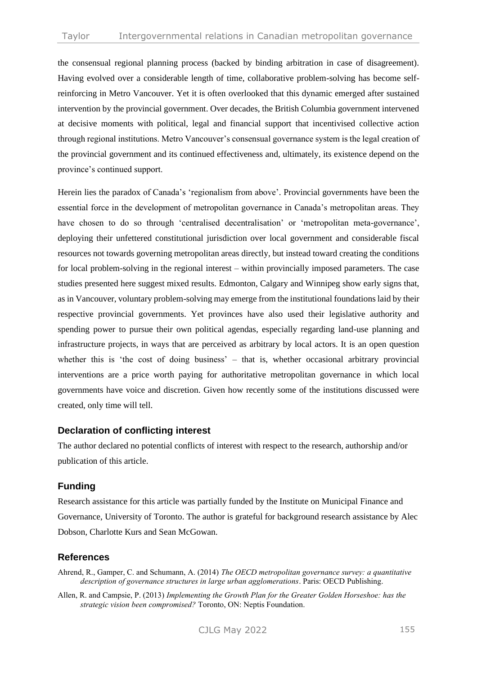the consensual regional planning process (backed by binding arbitration in case of disagreement). Having evolved over a considerable length of time, collaborative problem-solving has become selfreinforcing in Metro Vancouver. Yet it is often overlooked that this dynamic emerged after sustained intervention by the provincial government. Over decades, the British Columbia government intervened at decisive moments with political, legal and financial support that incentivised collective action through regional institutions. Metro Vancouver's consensual governance system is the legal creation of the provincial government and its continued effectiveness and, ultimately, its existence depend on the province's continued support.

Herein lies the paradox of Canada's 'regionalism from above'. Provincial governments have been the essential force in the development of metropolitan governance in Canada's metropolitan areas. They have chosen to do so through 'centralised decentralisation' or 'metropolitan meta-governance', deploying their unfettered constitutional jurisdiction over local government and considerable fiscal resources not towards governing metropolitan areas directly, but instead toward creating the conditions for local problem-solving in the regional interest – within provincially imposed parameters. The case studies presented here suggest mixed results. Edmonton, Calgary and Winnipeg show early signs that, as in Vancouver, voluntary problem-solving may emerge from the institutional foundations laid by their respective provincial governments. Yet provinces have also used their legislative authority and spending power to pursue their own political agendas, especially regarding land-use planning and infrastructure projects, in ways that are perceived as arbitrary by local actors. It is an open question whether this is 'the cost of doing business' – that is, whether occasional arbitrary provincial interventions are a price worth paying for authoritative metropolitan governance in which local governments have voice and discretion. Given how recently some of the institutions discussed were created, only time will tell.

#### **Declaration of conflicting interest**

The author declared no potential conflicts of interest with respect to the research, authorship and/or publication of this article.

## **Funding**

Research assistance for this article was partially funded by the Institute on Municipal Finance and Governance, University of Toronto. The author is grateful for background research assistance by Alec Dobson, Charlotte Kurs and Sean McGowan.

#### **References**

Ahrend, R., Gamper, C. and Schumann, A. (2014) *The OECD metropolitan governance survey: a quantitative description of governance structures in large urban agglomerations*. Paris: OECD Publishing.

Allen, R. and Campsie, P. (2013) *Implementing the Growth Plan for the Greater Golden Horseshoe: has the strategic vision been compromised?* Toronto, ON: Neptis Foundation.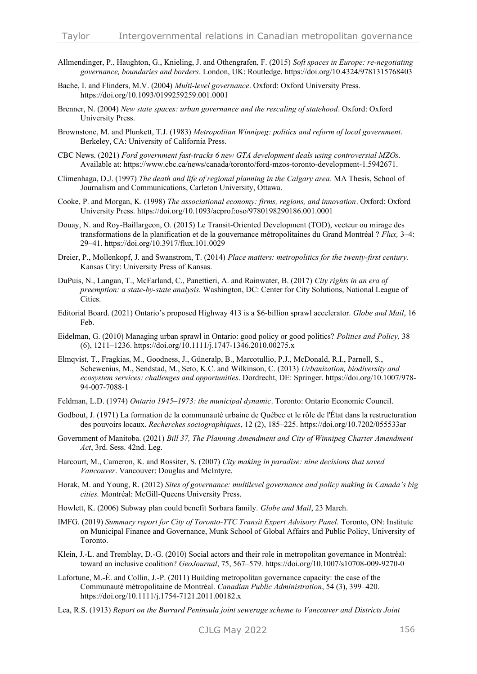- Allmendinger, P., Haughton, G., Knieling, J. and Othengrafen, F. (2015) *Soft spaces in Europe: re-negotiating governance, boundaries and borders.* London, UK: Routledge. https://doi.org/10.4324/9781315768403
- Bache, I. and Flinders, M.V. (2004) *Multi-level governance*. Oxford: Oxford University Press. https://doi.org/10.1093/0199259259.001.0001
- Brenner, N. (2004) *New state spaces: urban governance and the rescaling of statehood*. Oxford: Oxford University Press.
- Brownstone, M. and Plunkett, T.J. (1983) *Metropolitan Winnipeg: politics and reform of local government*. Berkeley, CA: University of California Press.
- CBC News. (2021) *Ford government fast-tracks 6 new GTA development deals using controversial MZOs.*  Available at: https://www.cbc.ca/news/canada/toronto/ford-mzos-toronto-development-1.5942671.
- Climenhaga, D.J. (1997) *The death and life of regional planning in the Calgary area*. MA Thesis, School of Journalism and Communications, Carleton University, Ottawa.
- Cooke, P. and Morgan, K. (1998) *The associational economy: firms, regions, and innovation*. Oxford: Oxford University Press. https://doi.org/10.1093/acprof:oso/9780198290186.001.0001
- Douay, N. and Roy-Baillargeon, O. (2015) Le Transit-Oriented Development (TOD), vecteur ou mirage des transformations de la planification et de la gouvernance métropolitaines du Grand Montréal ? *Flux,* 3–4: 29–41. https://doi.org/10.3917/flux.101.0029
- Dreier, P., Mollenkopf, J. and Swanstrom, T. (2014) *Place matters: metropolitics for the twenty-first century.*  Kansas City: University Press of Kansas.
- DuPuis, N., Langan, T., McFarland, C., Panettieri, A. and Rainwater, B. (2017) *City rights in an era of preemption: a state-by-state analysis.* Washington, DC: Center for City Solutions, National League of Cities.
- Editorial Board. (2021) Ontario's proposed Highway 413 is a \$6-billion sprawl accelerator. *Globe and Mail*, 16 Feb.
- Eidelman, G. (2010) Managing urban sprawl in Ontario: good policy or good politics? *Politics and Policy,* 38 (6), 1211–1236. https://doi.org/10.1111/j.1747-1346.2010.00275.x
- Elmqvist, T., Fragkias, M., Goodness, J., Güneralp, B., Marcotullio, P.J., McDonald, R.I., Parnell, S., Schewenius, M., Sendstad, M., Seto, K.C. and Wilkinson, C. (2013) *Urbanization, biodiversity and ecosystem services: challenges and opportunities*. Dordrecht, DE: Springer. https://doi.org/10.1007/978- 94-007-7088-1
- Feldman, L.D. (1974) *Ontario 1945–1973: the municipal dynamic*. Toronto: Ontario Economic Council.
- Godbout, J. (1971) La formation de la communauté urbaine de Québec et le rôle de l'État dans la restructuration des pouvoirs locaux. *Recherches sociographiques*, 12 (2), 185–225. https://doi.org/10.7202/055533ar
- Government of Manitoba. (2021) *Bill 37, The Planning Amendment and City of Winnipeg Charter Amendment Act*, 3rd. Sess. 42nd. Leg.
- Harcourt, M., Cameron, K. and Rossiter, S. (2007) *City making in paradise: nine decisions that saved Vancouver*. Vancouver: Douglas and McIntyre.
- Horak, M. and Young, R. (2012) *Sites of governance: multilevel governance and policy making in Canada's big cities.* Montréal: McGill-Queens University Press.
- Howlett, K. (2006) Subway plan could benefit Sorbara family. *Globe and Mail*, 23 March.
- IMFG. (2019) Summary report for City of Toronto-TTC Transit Expert Advisory Panel. Toronto, ON: Institute on Municipal Finance and Governance, Munk School of Global Affairs and Public Policy, University of Toronto.
- Klein, J.-L. and Tremblay, D.-G. (2010) Social actors and their role in metropolitan governance in Montréal: toward an inclusive coalition? *GeoJournal*, 75, 567–579. https://doi.org/10.1007/s10708-009-9270-0
- Lafortune, M.-È. and Collin, J.-P. (2011) Building metropolitan governance capacity: the case of the Communauté métropolitaine de Montréal. *Canadian Public Administration*, 54 (3), 399–420. https://doi.org/10.1111/j.1754-7121.2011.00182.x
- Lea, R.S. (1913) *Report on the Burrard Peninsula joint sewerage scheme to Vancouver and Districts Joint*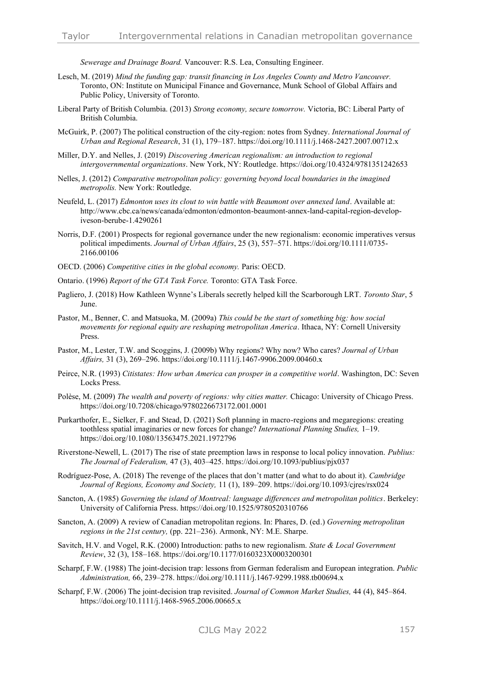*Sewerage and Drainage Board.* Vancouver: R.S. Lea, Consulting Engineer.

- Lesch, M. (2019) *Mind the funding gap: transit financing in Los Angeles County and Metro Vancouver.*  Toronto, ON: Institute on Municipal Finance and Governance, Munk School of Global Affairs and Public Policy, University of Toronto.
- Liberal Party of British Columbia. (2013) *Strong economy, secure tomorrow.* Victoria, BC: Liberal Party of British Columbia.
- McGuirk, P. (2007) The political construction of the city-region: notes from Sydney. *International Journal of Urban and Regional Research*, 31 (1), 179–187. https://doi.org/10.1111/j.1468-2427.2007.00712.x
- Miller, D.Y. and Nelles, J. (2019) *Discovering American regionalism: an introduction to regional intergovernmental organizations*. New York, NY: Routledge. https://doi.org/10.4324/9781351242653
- Nelles, J. (2012) *Comparative metropolitan policy: governing beyond local boundaries in the imagined metropolis.* New York: Routledge.
- Neufeld, L. (2017) *Edmonton uses its clout to win battle with Beaumont over annexed land*. Available at: http://www.cbc.ca/news/canada/edmonton/edmonton-beaumont-annex-land-capital-region-developiveson-berube-1.4290261
- Norris, D.F. (2001) Prospects for regional governance under the new regionalism: economic imperatives versus political impediments. *Journal of Urban Affairs*, 25 (3), 557–571. https://doi.org/10.1111/0735- 2166.00106
- OECD. (2006) *Competitive cities in the global economy.* Paris: OECD.
- Ontario. (1996) *Report of the GTA Task Force.* Toronto: GTA Task Force.
- Pagliero, J. (2018) How Kathleen Wynne's Liberals secretly helped kill the Scarborough LRT. *Toronto Star*, 5 June.
- Pastor, M., Benner, C. and Matsuoka, M. (2009a) *This could be the start of something big: how social movements for regional equity are reshaping metropolitan America*. Ithaca, NY: Cornell University Press.
- Pastor, M., Lester, T.W. and Scoggins, J. (2009b) Why regions? Why now? Who cares? *Journal of Urban Affairs,* 31 (3), 269–296. https://doi.org/10.1111/j.1467-9906.2009.00460.x
- Peirce, N.R. (1993) *Citistates: How urban America can prosper in a competitive world*. Washington, DC: Seven Locks Press.
- Polèse, M. (2009) *The wealth and poverty of regions: why cities matter.* Chicago: University of Chicago Press. https://doi.org/10.7208/chicago/9780226673172.001.0001
- Purkarthofer, E., Sielker, F. and Stead, D. (2021) Soft planning in macro-regions and megaregions: creating toothless spatial imaginaries or new forces for change? *International Planning Studies,* 1–19. https://doi.org/10.1080/13563475.2021.1972796
- Riverstone-Newell, L. (2017) The rise of state preemption laws in response to local policy innovation. *Publius: The Journal of Federalism,* 47 (3), 403–425. https://doi.org/10.1093/publius/pjx037
- Rodríguez-Pose, A. (2018) The revenge of the places that don't matter (and what to do about it). *Cambridge Journal of Regions, Economy and Society,* 11 (1), 189–209. https://doi.org/10.1093/cjres/rsx024
- Sancton, A. (1985) *Governing the island of Montreal: language differences and metropolitan politics*. Berkeley: University of California Press. https://doi.org/10.1525/9780520310766
- Sancton, A. (2009) A review of Canadian metropolitan regions. In: Phares, D. (ed.) *Governing metropolitan regions in the 21st century,* (pp. 221–236). Armonk, NY: M.E. Sharpe.
- Savitch, H.V. and Vogel, R.K. (2000) Introduction: paths to new regionalism. *State & Local Government Review*, 32 (3), 158–168. https://doi.org/10.1177/0160323X0003200301
- Scharpf, F.W. (1988) The joint-decision trap: lessons from German federalism and European integration. *Public Administration,* 66, 239–278. https://doi.org/10.1111/j.1467-9299.1988.tb00694.x
- Scharpf, F.W. (2006) The joint-decision trap revisited. *Journal of Common Market Studies,* 44 (4), 845–864. https://doi.org/10.1111/j.1468-5965.2006.00665.x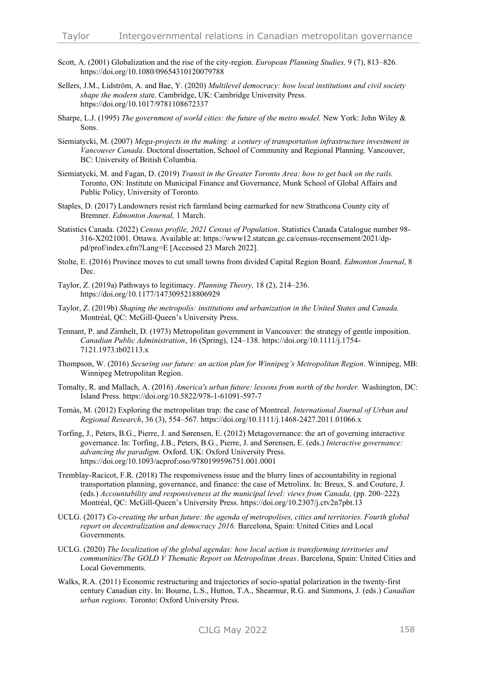- Scott, A. (2001) Globalization and the rise of the city-region. *European Planning Studies,* 9 (7), 813–826. https://doi.org/10.1080/09654310120079788
- Sellers, J.M., Lidström, A. and Bae, Y. (2020) *Multilevel democracy: how local institutions and civil society shape the modern stat*e. Cambridge, UK: Cambridge University Press. https://doi.org/10.1017/9781108672337
- Sharpe, L.J. (1995) *The government of world cities: the future of the metro model.* New York: John Wiley & Sons.
- Siemiatycki, M. (2007) *Mega-projects in the making: a century of transportation infrastructure investment in Vancouver Canada*. Doctoral dissertation, School of Community and Regional Planning. Vancouver, BC: University of British Columbia.
- Siemiatycki, M. and Fagan, D. (2019) *Transit in the Greater Toronto Area: how to get back on the rails.*  Toronto, ON: Institute on Municipal Finance and Governance, Munk School of Global Affairs and Public Policy, University of Toronto.
- Staples, D. (2017) Landowners resist rich farmland being earmarked for new Strathcona County city of Bremner. *Edmonton Journal,* 1 March.
- Statistics Canada. (2022) *Census profile, 2021 Census of Population*. Statistics Canada Catalogue number 98- 316-X2021001. Ottawa. Available at: https://www12.statcan.gc.ca/census-recensement/2021/dppd/prof/index.cfm?Lang=E [Accessed 23 March 2022].
- Stolte, E. (2016) Province moves to cut small towns from divided Capital Region Board. *Edmonton Journal*, 8 Dec.
- Taylor, Z. (2019a) Pathways to legitimacy. *Planning Theory,* 18 (2), 214–236. https://doi.org/10.1177/1473095218806929
- Taylor, Z. (2019b) *Shaping the metropolis: institutions and urbanization in the United States and Canada.* Montréal, QC: McGill-Queen's University Press.
- Tennant, P. and Zirnhelt, D. (1973) Metropolitan government in Vancouver: the strategy of gentle imposition. *Canadian Public Administration*, 16 (Spring), 124–138. https://doi.org/10.1111/j.1754- 7121.1973.tb02113.x
- Thompson, W. (2016) *Securing our future: an action plan for Winnipeg's Metropolitan Region*. Winnipeg, MB: Winnipeg Metropolitan Region.
- Tomalty, R. and Mallach, A. (2016) *America's urban future: lessons from north of the border.* Washington, DC: Island Press. https://doi.org/10.5822/978-1-61091-597-7
- Tomàs, M. (2012) Exploring the metropolitan trap: the case of Montreal. *International Journal of Urban and Regional Research*, 36 (3), 554–567. https://doi.org/10.1111/j.1468-2427.2011.01066.x
- Torfing, J., Peters, B.G., Pierre, J. and Sørensen, E. (2012) Metagovernance: the art of governing interactive governance. In: Torfing, J.B., Peters, B.G., Pierre, J. and Sørensen, E. (eds.) *Interactive governance: advancing the paradigm.* Oxford. UK: Oxford University Press. https://doi.org/10.1093/acprof:oso/9780199596751.001.0001
- Tremblay-Racicot, F.R. (2018) The responsiveness issue and the blurry lines of accountability in regional transportation planning, governance, and finance: the case of Metrolinx. In: Breux, S. and Couture, J. (eds.) *Accountability and responsiveness at the municipal level: views from Canada,* (pp. 200–222)*.* Montréal, QC: McGill-Queen's University Press. https://doi.org/10.2307/j.ctv2n7pbt.13
- UCLG. (2017) *Co-creating the urban future: the agenda of metropolises, cities and territories. Fourth global report on decentralization and democracy 2016.* Barcelona, Spain: United Cities and Local Governments.
- UCLG. (2020) *The localization of the global agendas: how local action is transforming territories and communities/The GOLD V Thematic Report on Metropolitan Areas*. Barcelona, Spain: United Cities and Local Governments.
- Walks, R.A. (2011) Economic restructuring and trajectories of socio-spatial polarization in the twenty-first century Canadian city. In: Bourne, L.S., Hutton, T.A., Shearmur, R.G. and Simmons, J. (eds.) *Canadian urban regions*. Toronto: Oxford University Press.